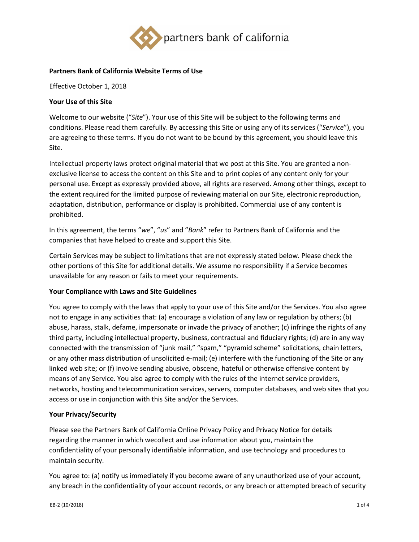

## **Partners Bank of California Website Terms of Use**

Effective October 1, 2018

# **Your Use of this Site**

Welcome to our website ("*Site*"). Your use of this Site will be subject to the following terms and conditions. Please read them carefully. By accessing this Site or using any of its services ("*Service*"), you are agreeing to these terms. If you do not want to be bound by this agreement, you should leave this Site.

Intellectual property laws protect original material that we post at this Site. You are granted a nonexclusive license to access the content on this Site and to print copies of any content only for your personal use. Except as expressly provided above, all rights are reserved. Among other things, except to the extent required for the limited purpose of reviewing material on our Site, electronic reproduction, adaptation, distribution, performance or display is prohibited. Commercial use of any content is prohibited.

In this agreement, the terms "*we*", "*us*" and "*Bank*" refer to Partners Bank of California and the companies that have helped to create and support this Site.

Certain Services may be subject to limitations that are not expressly stated below. Please check the other portions of this Site for additional details. We assume no responsibility if a Service becomes unavailable for any reason or fails to meet your requirements.

## **Your Compliance with Laws and Site Guidelines**

You agree to comply with the laws that apply to your use of this Site and/or the Services. You also agree not to engage in any activities that: (a) encourage a violation of any law or regulation by others; (b) abuse, harass, stalk, defame, impersonate or invade the privacy of another; (c) infringe the rights of any third party, including intellectual property, business, contractual and fiduciary rights; (d) are in any way connected with the transmission of "junk mail," "spam," "pyramid scheme" solicitations, chain letters, or any other mass distribution of unsolicited e-mail; (e) interfere with the functioning of the Site or any linked web site; or (f) involve sending abusive, obscene, hateful or otherwise offensive content by means of any Service. You also agree to comply with the rules of the internet service providers, networks, hosting and telecommunication services, servers, computer databases, and web sites that you access or use in conjunction with this Site and/or the Services.

## **Your Privacy/Security**

Please see the Partners Bank of California [Online Privacy P](https://bbcnbank-uat.banno.com/online-privacy)olicy and Privacy Notice for details regarding the manner in which wecollect and use information about you, maintain the confidentiality of your personally identifiable information, and use technology and procedures to maintain security.

You agree to: (a) notify us immediately if you become aware of any unauthorized use of your account, any breach in the confidentiality of your account records, or any breach or attempted breach of security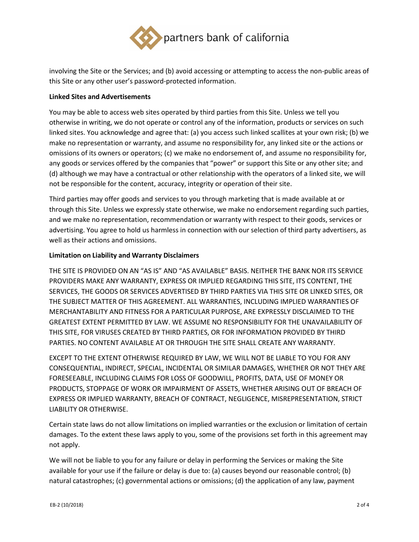

involving the Site or the Services; and (b) avoid accessing or attempting to access the non-public areas of this Site or any other user's password-protected information.

## **Linked Sites and Advertisements**

You may be able to access web sites operated by third parties from this Site. Unless we tell you otherwise in writing, we do not operate or control any of the information, products or services on such linked sites. You acknowledge and agree that: (a) you access such linked scallites at your own risk; (b) we make no representation or warranty, and assume no responsibility for, any linked site or the actions or omissions of its owners or operators; (c) we make no endorsement of, and assume no responsibility for, any goods or services offered by the companies that "power" or support this Site or any other site; and (d) although we may have a contractual or other relationship with the operators of a linked site, we will not be responsible for the content, accuracy, integrity or operation of their site.

Third parties may offer goods and services to you through marketing that is made available at or through this Site. Unless we expressly state otherwise, we make no endorsement regarding such parties, and we make no representation, recommendation or warranty with respect to their goods, services or advertising. You agree to hold us harmless in connection with our selection of third party advertisers, as well as their actions and omissions.

## **Limitation on Liability and Warranty Disclaimers**

THE SITE IS PROVIDED ON AN "AS IS" AND "AS AVAILABLE" BASIS. NEITHER THE BANK NOR ITS SERVICE PROVIDERS MAKE ANY WARRANTY, EXPRESS OR IMPLIED REGARDING THIS SITE, ITS CONTENT, THE SERVICES, THE GOODS OR SERVICES ADVERTISED BY THIRD PARTIES VIA THIS SITE OR LINKED SITES, OR THE SUBJECT MATTER OF THIS AGREEMENT. ALL WARRANTIES, INCLUDING IMPLIED WARRANTIES OF MERCHANTABILITY AND FITNESS FOR A PARTICULAR PURPOSE, ARE EXPRESSLY DISCLAIMED TO THE GREATEST EXTENT PERMITTED BY LAW. WE ASSUME NO RESPONSIBILITY FOR THE UNAVAILABILITY OF THIS SITE, FOR VIRUSES CREATED BY THIRD PARTIES, OR FOR INFORMATION PROVIDED BY THIRD PARTIES. NO CONTENT AVAILABLE AT OR THROUGH THE SITE SHALL CREATE ANY WARRANTY.

EXCEPT TO THE EXTENT OTHERWISE REQUIRED BY LAW, WE WILL NOT BE LIABLE TO YOU FOR ANY CONSEQUENTIAL, INDIRECT, SPECIAL, INCIDENTAL OR SIMILAR DAMAGES, WHETHER OR NOT THEY ARE FORESEEABLE, INCLUDING CLAIMS FOR LOSS OF GOODWILL, PROFITS, DATA, USE OF MONEY OR PRODUCTS, STOPPAGE OF WORK OR IMPAIRMENT OF ASSETS, WHETHER ARISING OUT OF BREACH OF EXPRESS OR IMPLIED WARRANTY, BREACH OF CONTRACT, NEGLIGENCE, MISREPRESENTATION, STRICT LIABILITY OR OTHERWISE.

Certain state laws do not allow limitations on implied warranties or the exclusion or limitation of certain damages. To the extent these laws apply to you, some of the provisions set forth in this agreement may not apply.

We will not be liable to you for any failure or delay in performing the Services or making the Site available for your use if the failure or delay is due to: (a) causes beyond our reasonable control; (b) natural catastrophes; (c) governmental actions or omissions; (d) the application of any law, payment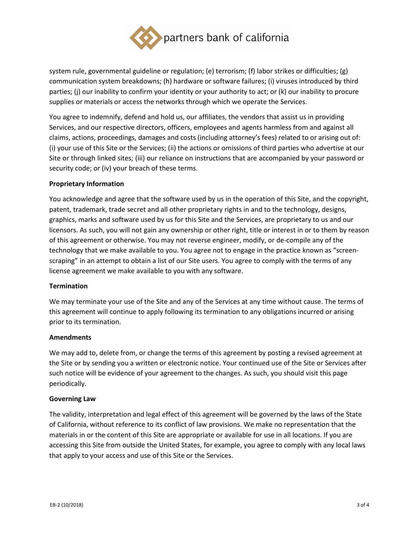

system rule, governmental guideline or regulation; (e) terrorism; (f) labor strikes or difficulties; (g) communication system breakdowns; (h) hardware or software failures; (i) viruses introduced by third parties; (j) our inability to confirm your identity or your authority to act; or (k) our inability to procure supplies or materials or access the networks through which we operate the Services.

You agree to indemnify, defend and hold us, our affiliates, the vendors that assist us in providing Services, and our respective directors, officers, employees and agents harmless from and against all claims, actions, proceedings, damages and costs (including attorney's fees) related to or arising out of: (i) your use of this Site or the Services; (ii) the actions or omissions of third parties who advertise at our Site or through linked sites; (iii) our reliance on instructions that are accompanied by your password or security code; or (iv) your breach of these terms.

## **Proprietary Information**

You acknowledge and agree that the software used by us in the operation of this Site, and the copyright, patent, trademark, trade secret and all other proprietary rights in and to the technology, designs, graphics, marks and software used by us for this Site and the Services, are proprietary to us and our licensors. As such, you will not gain any ownership or other right, title or interest in or to them by reason of this agreement or otherwise. You may not reverse engineer, modify, or de-compile any of the technology that we make available to you. You agree not to engage in the practice known as "screenscraping" in an attempt to obtain a list of our Site users. You agree to comply with the terms of any license agreement we make available to you with any software.

#### **Termination**

We may terminate your use of the Site and any of the Services at any time without cause. The terms of this agreement will continue to apply following its termination to any obligations incurred or arising prior to its termination.

#### **Amendments**

We may add to, delete from, or change the terms of this agreement by posting a revised agreement at the Site or by sending you a written or electronic notice. Your continued use of the Site or Services after such notice will be evidence of your agreement to the changes. As such, you should visit this page periodically.

#### **Governing Law**

The validity, interpretation and legal effect of this agreement will be governed by the laws of the State of California, without reference to its conflict of law provisions. We make no representation that the materials in or the content of this Site are appropriate or available for use in all locations. If you are accessing this Site from outside the United States, for example, you agree to comply with any local laws that apply to your access and use of this Site or the Services.